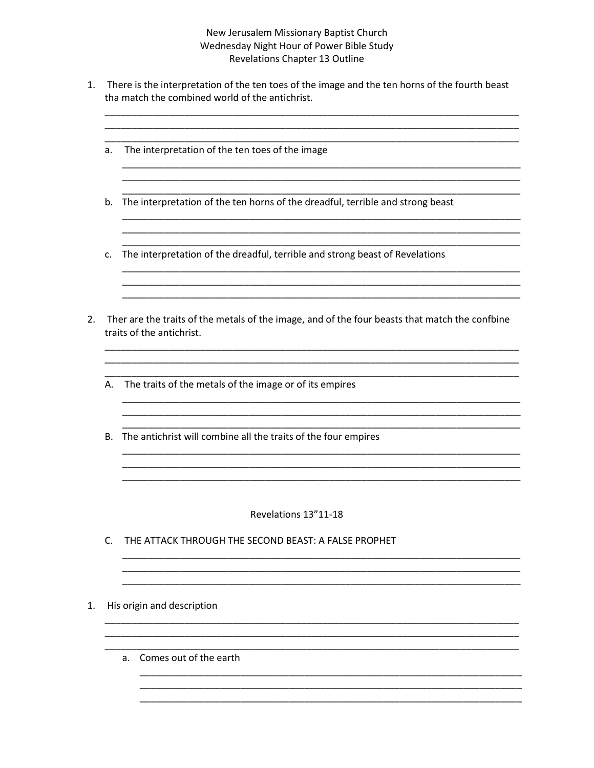## New Jerusalem Missionary Baptist Church Wednesday Night Hour of Power Bible Study Revelations Chapter 13 Outline

1. There is the interpretation of the ten toes of the image and the ten horns of the fourth beast tha match the combined world of the antichrist.

<u> 1989 - Jan Bernard Bernard, Amerikaansk politiker (d. 1989)</u>

- a. The interpretation of the ten toes of the image
- b. The interpretation of the ten horns of the dreadful, terrible and strong beast
- c. The interpretation of the dreadful, terrible and strong beast of Revelations
- 2. Ther are the traits of the metals of the image, and of the four beasts that match the confbine traits of the antichrist.

- A. The traits of the metals of the image or of its empires
- B. The antichrist will combine all the traits of the four empires

## Revelations 13"11-18

- C. THE ATTACK THROUGH THE SECOND BEAST: A FALSE PROPHET
- 1. His origin and description
	- a. Comes out of the earth